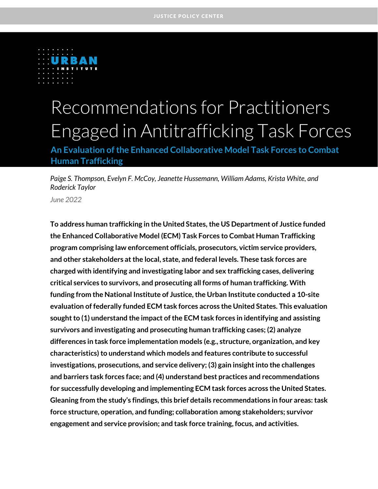

# Recommendations for Practitioners Engaged in Antitrafficking Task Forces

**An Evaluation of the Enhanced Collaborative Model Task Forces to Combat Human Trafficking**

*Paige S. Thompson, Evelyn F. McCoy, Jeanette Hussemann, William Adams, Krista White, and Roderick Taylor*

*June 2022*

**To address human trafficking in the United States, the US Department of Justice funded the Enhanced Collaborative Model (ECM) Task Forces to Combat Human Trafficking program comprising law enforcement officials, prosecutors, victim service providers, and other stakeholders at the local, state, and federal levels. These task forces are charged with identifying and investigating labor and sex trafficking cases, delivering critical services to survivors, and prosecuting all forms of human trafficking. With funding from the National Institute of Justice, the Urban Institute conducted a 10-site evaluation of federally funded ECM task forces across the United States. This evaluation sought to (1) understand the impact of the ECM task forces in identifying and assisting survivors and investigating and prosecuting human trafficking cases; (2) analyze differences in task force implementation models (e.g., structure, organization, and key characteristics) to understand which models and features contribute to successful investigations, prosecutions, and service delivery; (3) gain insight into the challenges and barriers task forces face; and (4) understand best practices and recommendations for successfully developing and implementing ECM task forces across the United States. Gleaning from the study's findings, this brief details recommendations in four areas: task force structure, operation, and funding; collaboration among stakeholders; survivor engagement and service provision; and task force training, focus, and activities.**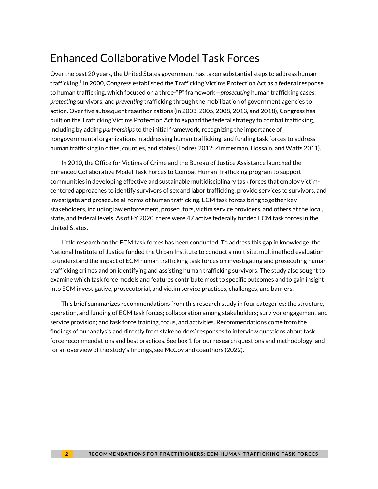# Enhanced Collaborative Model Task Forces

Over the past 20 years, the United States government has taken substantial steps to address human trafficking. 1 In 2000, Congress established the Trafficking Victims Protection Act as a federal response to human trafficking, which focused on a three-"P" framework—*prosecuting* human trafficking cases, *protecting* survivors, and *preventing* trafficking through the mobilization of government agencies to action. Over five subsequent reauthorizations (in 2003, 2005, 2008, 2013, and 2018), Congress has built on the Trafficking Victims Protection Act to expand the federal strategy to combat trafficking, including by adding *partnerships*to the initial framework, recognizing the importance of nongovernmental organizations in addressing human trafficking, and funding task forces to address human trafficking in cities, counties, and states (Todres 2012; Zimmerman, Hossain, and Watts 2011).

In 2010, the Office for Victims of Crime and the Bureau of Justice Assistance launched the Enhanced Collaborative Model Task Forces to Combat Human Trafficking program to support communities in developing effective and sustainable multidisciplinary task forces that employ victimcentered approaches to identify survivors of sex and labor trafficking, provide services to survivors, and investigate and prosecute all forms of human trafficking. ECM task forces bring together key stakeholders, including law enforcement, prosecutors, victim service providers, and others at the local, state, and federal levels. As of FY 2020, there were 47 active federally funded ECM task forces in the United States.

Little research on the ECM task forces has been conducted. To address this gap in knowledge, the National Institute of Justice funded the Urban Institute to conduct a multisite, multimethod evaluation to understand the impact of ECM human trafficking task forces on investigating and prosecuting human trafficking crimes and on identifying and assisting human trafficking survivors. The study also sought to examine which task force models and features contribute most to specific outcomes and to gain insight into ECM investigative, prosecutorial, and victim service practices, challenges, and barriers.

This brief summarizes recommendations from this research study in four categories: the structure, operation, and funding of ECM task forces; collaboration among stakeholders; survivor engagement and service provision; and task force training, focus, and activities. Recommendations come from the findings of our analysis and directly from stakeholders' responses to interview questions about task force recommendations and best practices. See box 1 for our research questions and methodology, and for an overview of the study's findings, see McCoy and coauthors (2022).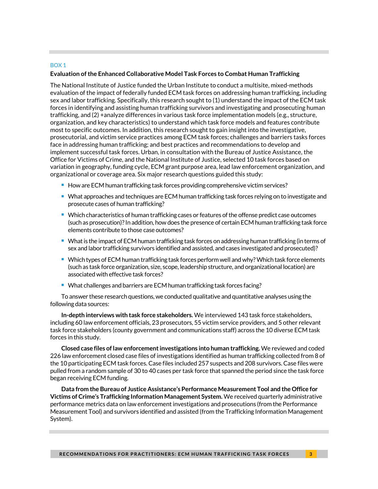#### BOX 1

#### **Evaluation of the Enhanced Collaborative Model Task Forces to Combat Human Trafficking**

The National Institute of Justice funded the Urban Institute to conduct a multisite, mixed-methods evaluation of the impact of federally funded ECM task forces on addressing human trafficking, including sex and labor trafficking. Specifically, this research sought to (1) understand the impact of the ECM task forces in identifying and assisting human trafficking survivors and investigating and prosecuting human trafficking, and (2) +analyze differences in various task force implementation models (e.g., structure, organization, and key characteristics) to understand which task force models and features contribute most to specific outcomes. In addition, this research sought to gain insight into the investigative, prosecutorial, and victim service practices among ECM task forces; challenges and barriers tasks forces face in addressing human trafficking; and best practices and recommendations to develop and implement successful task forces. Urban, in consultation with the Bureau of Justice Assistance, the Office for Victims of Crime, and the National Institute of Justice, selected 10 task forces based on variation in geography, funding cycle, ECM grant purpose area, lead law enforcement organization, and organizational or coverage area. Six major research questions guided this study:

- How are ECM human trafficking task forces providing comprehensive victim services?
- What approaches and techniques are ECM human trafficking task forces relying on to investigate and prosecute cases of human trafficking?
- Which characteristics of human trafficking cases or features of the offense predict case outcomes (such as prosecution)? In addition, how does the presence of certain ECM human trafficking task force elements contribute to those case outcomes?
- What is the impact of ECM human trafficking task forces on addressing human trafficking (in terms of sex and labor trafficking survivors identified and assisted, and cases investigated and prosecuted)?
- Which types of ECM human trafficking task forces perform well and why? Which task force elements (such as task force organization, size, scope, leadership structure, and organizational location) are associated with effective task forces?
- What challenges and barriers are ECM human trafficking task forces facing?

To answer these research questions, we conducted qualitative and quantitative analyses using the following data sources:

**In-depth interviews with task force stakeholders.** We interviewed 143 task force stakeholders, including 60 law enforcement officials, 23 prosecutors, 55 victim service providers, and 5 other relevant task force stakeholders (county government and communications staff) across the 10 diverse ECM task forces in this study.

**Closed case files of law enforcement investigations into human trafficking.** We reviewed and coded 226 law enforcement closed case files of investigations identified as human trafficking collected from 8 of the 10 participating ECM task forces. Case files included 257 suspects and 208 survivors. Case files were pulled from a random sample of 30 to 40 cases per task force that spanned the period since the task force began receiving ECM funding.

**Data from the Bureau of Justice Assistance's Performance Measurement Tool and the Office for Victims of Crime's Trafficking Information Management System.** We received quarterly administrative performance metrics data on law enforcement investigations and prosecutions (from the Performance Measurement Tool) and survivors identified and assisted (from the Trafficking Information Management System).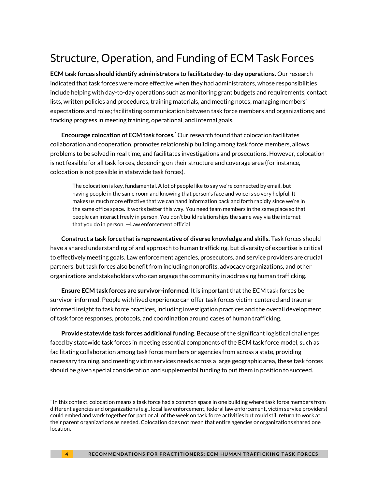# Structure, Operation, and Funding of ECM Task Forces

**ECM task forces should identify administrators to facilitate day-to-day operations.** Our research indicated that task forces were more effective when they had administrators, whose responsibilities include helping with day-to-day operations such as monitoring grant budgets and requirements, contact lists, written policies and procedures, training materials, and meeting notes; managing members' expectations and roles; facilitating communication between task force members and organizations; and tracking progress in meeting training, operational, and internal goals.

**Encourage colocation of ECM task forces.**\* Our research found that colocation facilitates collaboration and cooperation, promotes relationship building among task force members, allows problems to be solved in real time, and facilitates investigations and prosecutions. However, colocation is not feasible for all task forces, depending on their structure and coverage area (for instance, colocation is not possible in statewide task forces).

The colocation is key, fundamental. A lot of people like to say we're connected by email, but having people in the same room and knowing that person's face and voice is so very helpful. It makes us much more effective that we can hand information back and forth rapidly since we're in the same office space. It works better this way. You need team members in the same place so that people can interact freely in person. You don't build relationships the same way via the internet that you do in person. —Law enforcement official

**Construct a task force that is representative of diverse knowledge and skills.** Task forces should have a shared understanding of and approach to human trafficking, but diversity of expertise is critical to effectively meeting goals. Law enforcement agencies, prosecutors, and service providers are crucial partners, but task forces also benefit from including nonprofits, advocacy organizations, and other organizations and stakeholders who can engage the community in addressing human trafficking.

**Ensure ECM task forces are survivor-informed**. It is important that the ECM task forces be survivor-informed. People with lived experience can offer task forces victim-centered and traumainformed insight to task force practices, including investigation practices and the overall development of task force responses, protocols, and coordination around cases of human trafficking.

**Provide statewide task forces additional funding**. Because of the significant logistical challenges faced by statewide task forces in meeting essential components of the ECM task force model, such as facilitating collaboration among task force members or agencies from across a state, providing necessary training, and meeting victim services needs across a large geographic area, these task forces should be given special consideration and supplemental funding to put them in position to succeed.

<sup>\*</sup> In this context, colocation means a task force had a common space in one building where task force members from different agencies and organizations (e.g., local law enforcement, federal law enforcement, victim service providers) could embed and work together for part or all of the week on task force activities but could still return to work at their parent organizations as needed. Colocation does not mean that entire agencies or organizations shared one location.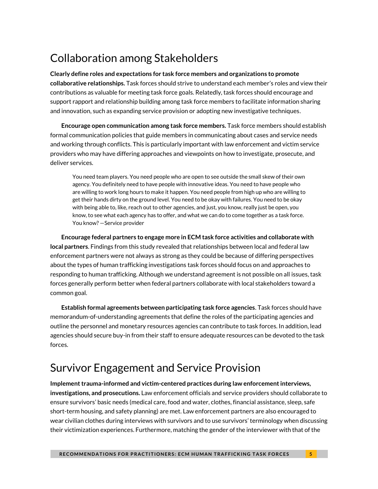# Collaboration among Stakeholders

**Clearly define roles and expectations for task force members and organizations to promote collaborative relationships.** Task forces should strive to understand each member's roles and view their contributions as valuable for meeting task force goals. Relatedly, task forces should encourage and support rapport and relationship building among task force members to facilitate information sharing and innovation, such as expanding service provision or adopting new investigative techniques.

**Encourage open communication among task force members.** Task force members should establish formal communication policies that guide members in communicating about cases and service needs and working through conflicts. This is particularly important with law enforcement and victim service providers who may have differing approaches and viewpoints on how to investigate, prosecute, and deliver services.

You need team players. You need people who are open to see outside the small skew of their own agency. You definitely need to have people with innovative ideas. You need to have people who are willing to work long hours to make it happen. You need people from high up who are willing to get their hands dirty on the ground level. You need to be okay with failures. You need to be okay with being able to, like, reach out to other agencies, and just, you know, really just be open, you know, to see what each agency has to offer, and what we can do to come together as a task force. You know? —Service provider

**Encourage federal partners to engage more in ECM task force activities and collaborate with local partners**. Findings from this study revealed that relationships between local and federal law enforcement partners were not always as strong as they could be because of differing perspectives about the types of human trafficking investigations task forces should focus on and approaches to responding to human trafficking. Although we understand agreement is not possible on all issues, task forces generally perform better when federal partners collaborate with local stakeholders toward a common goal.

**Establish formal agreements between participating task force agencies**. Task forces should have memorandum-of-understanding agreements that define the roles of the participating agencies and outline the personnel and monetary resources agencies can contribute to task forces. In addition, lead agencies should secure buy-in from their staff to ensure adequate resources can be devoted to the task forces.

# Survivor Engagement and Service Provision

**Implement trauma-informed and victim-centered practices during law enforcement interviews, investigations, and prosecutions.** Law enforcement officials and service providers should collaborate to ensure survivors' basic needs (medical care, food and water, clothes, financial assistance, sleep, safe short-term housing, and safety planning) are met. Law enforcement partners are also encouraged to wear civilian clothes during interviews with survivors and to use survivors' terminology when discussing their victimization experiences. Furthermore, matching the gender of the interviewer with that of the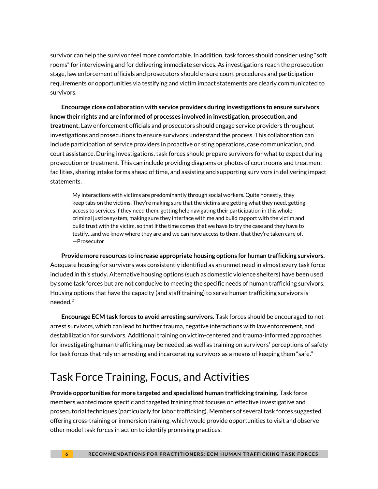survivor can help the survivor feel more comfortable. In addition, task forces should consider using "soft rooms" for interviewing and for delivering immediate services. As investigations reach the prosecution stage, law enforcement officials and prosecutors should ensure court procedures and participation requirements or opportunities via testifying and victim impact statements are clearly communicated to survivors.

**Encourage close collaboration with service providers during investigations to ensure survivors know their rights and are informed of processes involved in investigation, prosecution, and treatment.** Law enforcement officials and prosecutors should engage service providers throughout investigations and prosecutions to ensure survivors understand the process. This collaboration can include participation of service providers in proactive or sting operations, case communication, and court assistance. During investigations, task forces should prepare survivors for what to expect during prosecution or treatment. This can include providing diagrams or photos of courtrooms and treatment facilities, sharing intake forms ahead of time, and assisting and supporting survivors in delivering impact statements.

My interactions with victims are predominantly through social workers. Quite honestly, they keep tabs on the victims. They're making sure that the victims are getting what they need, getting access to services if they need them, getting help navigating their participation in this whole criminal justice system, making sure they interface with me and build rapport with the victim and build trust with the victim, so that if the time comes that we have to try the case and they have to testify…and we know where they are and we can have access to them, that they're taken care of. —Prosecutor

**Provide more resources to increase appropriate housing options for human trafficking survivors.**  Adequate housing for survivors was consistently identified as an unmet need in almost every task force included in this study. Alternative housing options (such as domestic violence shelters) have been used by some task forces but are not conducive to meeting the specific needs of human trafficking survivors. Housing options that have the capacity (and staff training) to serve human trafficking survivors is needed.<sup>2</sup>

**Encourage ECM task forces to avoid arresting survivors.** Task forces should be encouraged to not arrest survivors, which can lead to further trauma, negative interactions with law enforcement, and destabilization for survivors. Additional training on victim-centered and trauma-informed approaches for investigating human trafficking may be needed, as well as training on survivors' perceptions of safety for task forces that rely on arresting and incarcerating survivors as a means of keeping them "safe."

# Task Force Training, Focus, and Activities

**Provide opportunities for more targeted and specialized human trafficking training.** Task force members wanted more specific and targeted training that focuses on effective investigative and prosecutorial techniques (particularly for labor trafficking). Members of several task forces suggested offering cross-training or immersion training, which would provide opportunities to visit and observe other model task forces in action to identify promising practices.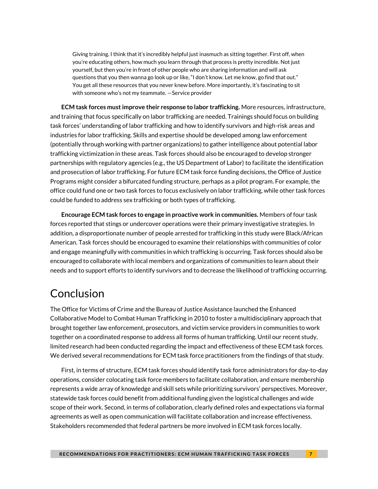Giving training. I think that it's incredibly helpful just inasmuch as sitting together. First off, when you're educating others, how much you learn through that process is pretty incredible. Not just yourself, but then you're in front of other people who are sharing information and will ask questions that you then wanna go look up or like, "I don't know. Let me know, go find that out." You get all these resources that you never knew before. More importantly, it's fascinating to sit with someone who's not my teammate. —Service provider

**ECM task forces must improve their response to labor trafficking.** More resources, infrastructure, and training that focus specifically on labor trafficking are needed. Trainings should focus on building task forces' understanding of labor trafficking and how to identify survivors and high-risk areas and industries for labor trafficking. Skills and expertise should be developed among law enforcement (potentially through working with partner organizations) to gather intelligence about potential labor trafficking victimization in these areas. Task forces should also be encouraged to develop stronger partnerships with regulatory agencies (e.g., the US Department of Labor) to facilitate the identification and prosecution of labor trafficking. For future ECM task force funding decisions, the Office of Justice Programs might consider a bifurcated funding structure, perhaps as a pilot program. For example, the office could fund one or two task forces to focus exclusively on labor trafficking, while other task forces could be funded to address sex trafficking or both types of trafficking.

**Encourage ECM task forces to engage in proactive work in communities.** Members of four task forces reported that stings or undercover operations were their primary investigative strategies. In addition, a disproportionate number of people arrested for trafficking in this study were Black/African American. Task forces should be encouraged to examine their relationships with communities of color and engage meaningfully with communities in which trafficking is occurring. Task forces should also be encouraged to collaborate with local members and organizations of communities to learn about their needs and to support efforts to identify survivors and to decrease the likelihood of trafficking occurring.

## Conclusion

The Office for Victims of Crime and the Bureau of Justice Assistance launched the Enhanced Collaborative Model to Combat Human Trafficking in 2010 to foster a multidisciplinary approach that brought together law enforcement, prosecutors, and victim service providers in communities to work together on a coordinated response to address all forms of human trafficking. Until our recent study, limited research had been conducted regarding the impact and effectiveness of these ECM task forces. We derived several recommendations for ECM task force practitioners from the findings of that study.

First, in terms of structure, ECM task forces should identify task force administrators for day-to-day operations, consider colocating task force members to facilitate collaboration, and ensure membership represents a wide array of knowledge and skill sets while prioritizing survivors' perspectives. Moreover, statewide task forces could benefit from additional funding given the logistical challenges and wide scope of their work. Second, in terms of collaboration, clearly defined roles and expectations via formal agreements as well as open communication will facilitate collaboration and increase effectiveness. Stakeholders recommended that federal partners be more involved in ECM task forces locally.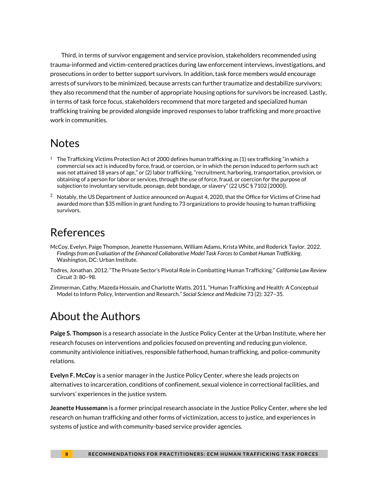Third, in terms of survivor engagement and service provision, stakeholders recommended using trauma-informed and victim-centered practices during law enforcement interviews, investigations, and prosecutions in order to better support survivors. In addition, task force members would encourage arrests of survivors to be minimized, because arrests can further traumatize and destabilize survivors; they also recommend that the number of appropriate housing options for survivors be increased. Lastly, in terms of task force focus, stakeholders recommend that more targeted and specialized human trafficking training be provided alongside improved responses to labor trafficking and more proactive work in communities.

#### **Notes**

- $1$  The Trafficking Victims Protection Act of 2000 defines human trafficking as (1) sex trafficking "in which a commercial sex act is induced by force, fraud, or coercion, or in which the person induced to perform such act was not attained 18 years of age," or (2) labor trafficking, "recruitment, harboring, transportation, provision, or obtaining of a person for labor or services, through the use of force, fraud, or coercion for the purpose of subjection to involuntary servitude, peonage, debt bondage, or slavery" (22 USC § 7102 [2000]).
- $^2$  Notably, the US Department of Justice announced on August 4, 2020, that the Office for Victims of Crime had awarded more than \$35 million in grant funding to 73 organizations to provide housing to human trafficking survivors.

## References

- McCoy, Evelyn, Paige Thompson, Jeanette Hussemann, William Adams, Krista White, and Roderick Taylor. 2022. *Findings from an Evaluation of the Enhanced Collaborative Model Task Forces to Combat Human Trafficking*. Washington, DC: Urban Institute.
- Todres, Jonathan. 2012. "The Private Sector's Pivotal Role in Combatting Human Trafficking." *California Law Review Circuit* 3: 80–98.
- Zimmerman, Cathy, Mazeda Hossain, and Charlotte Watts. 2011. "Human Trafficking and Health: A Conceptual Model to Inform Policy, Intervention and Research." *Social Science and Medicine* 73 (2): 327–35.

## About the Authors

**Paige S. Thompson** is a research associate in the Justice Policy Center at the Urban Institute, where her research focuses on interventions and policies focused on preventing and reducing gun violence, community antiviolence initiatives, responsible fatherhood, human trafficking, and police-community relations.

**Evelyn F. McCoy** is a senior manager in the Justice Policy Center, where she leads projects on alternatives to incarceration, conditions of confinement, sexual violence in correctional facilities, and survivors' experiences in the justice system.

**Jeanette Hussemann** is a former principal research associate in the Justice Policy Center, where she led research on human trafficking and other forms of victimization, access to justice, and experiences in systems of justice and with community-based service provider agencies.